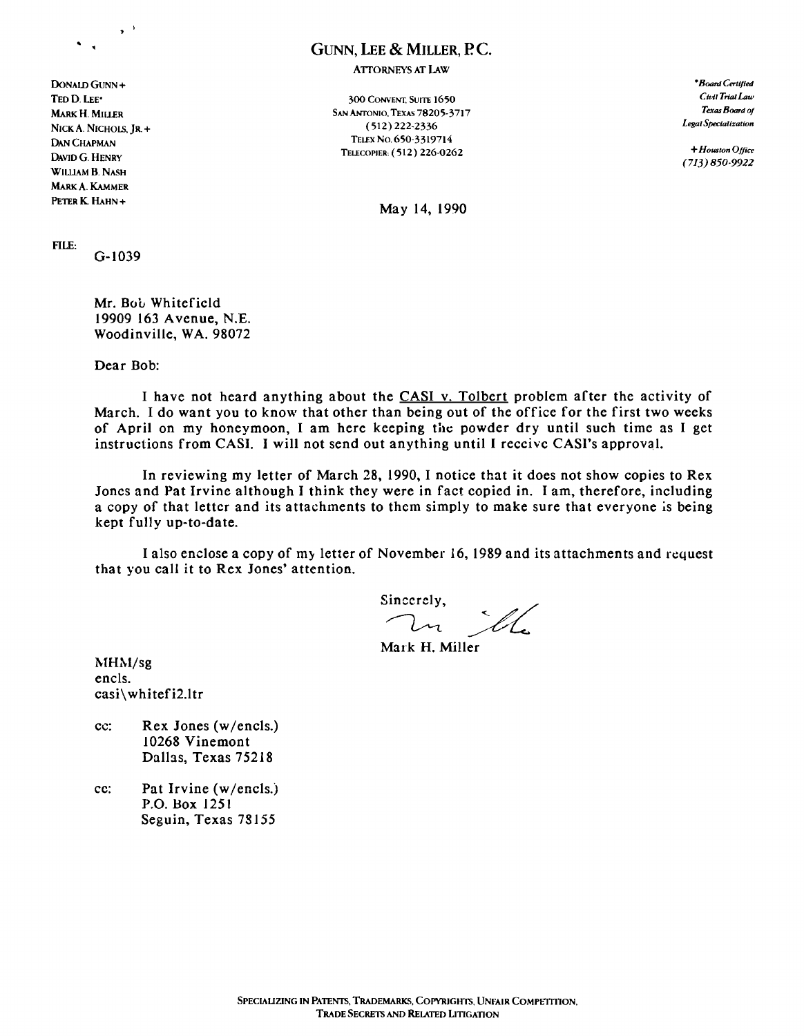### GUNN, LEE & MILLER, P.C.

**ATTORNEYS AT LAW** 

DoNAlD GUNN + *•Board Certified*  NICK A. NICHOLS, IR. + DAN CHAPMAN DAVID G. HENRY WILLIAM B. NASH MARK A. KAMMER

TED D. LEE<sup>\*</sup> 300 CONVENT, SUITE 1650 C*ivil Trial Law* C*ivil Trial Law* C*ivil Trial Law* Convent, Suite 1650 C*ivil Trial Law* Convent MARK H. MILLER Texas Board of SAN ANTONIO, TExas 78205-3717 *Texas Board of Texas Board of Texas Board of SAN ANTONIO*, TEXas 78205-3717 *Texas Board of Legal Specialization* TELEX No. 650-3319714 TELECOPIER, (512) 226-0262 +*Houston Office* 

*(713) 850-9922* 

PETER K HAHN + May 14, 1990

FILE:

G-I039

Mr. Bob Whitefield 19909 163 Avenue, N.E. Woodinville, WA. 98072

Dear Bob:

I have not heard anything about the CASI v. Tolbert problem after the activity of March. I do want you to know that other than being out of the office for the first two weeks of April on my honeymoon, I am here keeping the powder dry until such time as I get instructions from CASI. I will not send out anything until I receive CASI's approval.

In reviewing my letter of March 28, 1990, I notice that it does not show copies to Rex Jones and Pat Irvine although I think they were in fact copied in. I am, therefore, including a copy of that letter and its attachments to them simply to make sure that everyone is being kept fully up-to-date.

I also enclose a copy of my letter of November 16, 1989 and its attachments and request that you call it to Rex Jones' attention.

Sincerely,  $\mathcal{U}_{\mathcal{L}}$ 

Mark H. Miller

MHM/sg encls. casi\whitefi2.ltr

- cc: Rex Jones (w/encls.) 10268 Vinemont Dalhs, Texas 75218
- cc: Pat Irvine (w/encls.) P.O. Box 1251 Seguin, Texas 78155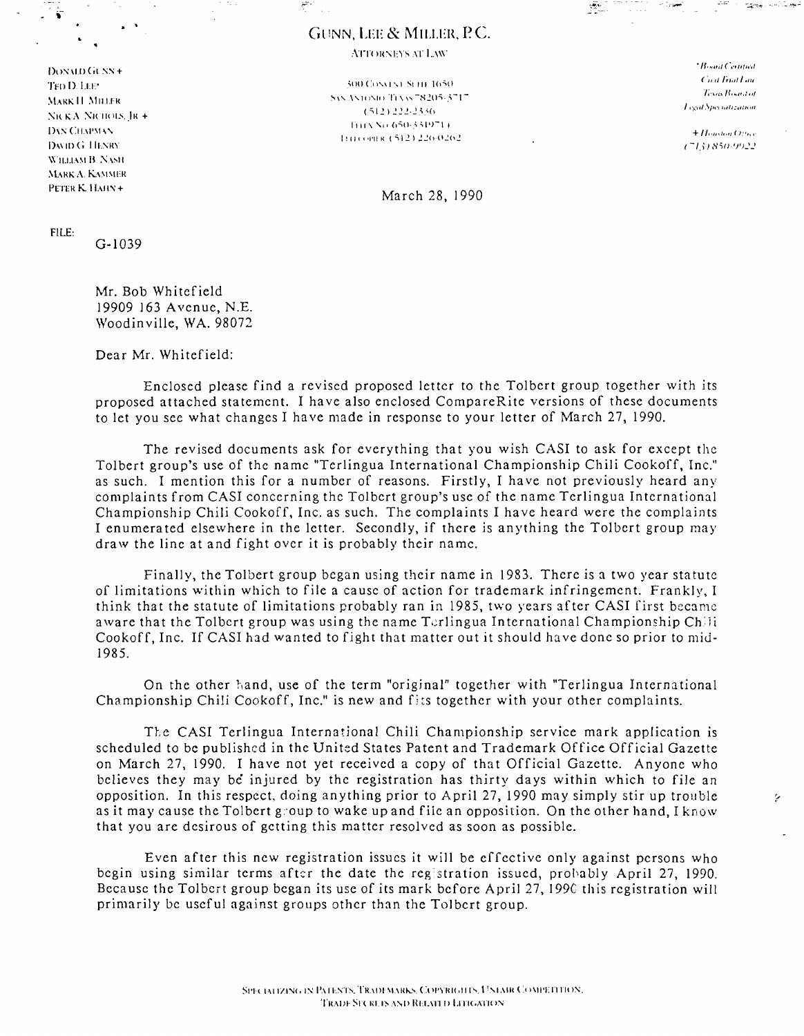### GUNN, LEE & MILLER, P.C.

 $\mathbb{N}^*$  . The state of the state of the state of the state of the state of the state of the state of the state of the state of the state of the state of the state of the state of the state of the state of the state of

ATTORNEYS AT LAW

 $\frac{1}{2}$  DONALD GUNN +  $\frac{1}{2}$  and  $\frac{1}{2}$  defined  $\frac{1}{2}$  defined by  $\frac{1}{2}$  defined by  $\frac{1}{2}$  defined by  $\frac{1}{2}$  defined by  $\frac{1}{2}$  defined by  $\frac{1}{2}$  defined by  $\frac{1}{2}$  defined by  $\frac{1}{2}$  defined DAVID G. HENRY. WILLIAM B. NASH MARK A. KAMMER PETER K. HAHN + March 28, 1990

TTP () 1.1.1.<sup>\*</sup> .:,uo (:1 ), International control in the second state of the St 'I':::0 ("I':::0", "I':::0", "I':::0", "I':::0", "I':::0", "I':::0", "I'::::0", "I'::::0", "I'::::0", "I'::::0", "I'::::0", "I'::::0", "I':: ~I.\HK II ,\111.1.1'1{ ~" \_"](l'1l1 Tl \,.. -~'L~1I':;"5-1 (':;12) 222 .. 25.':'(J :'\1\ K.-\ :'\I\II( 1I.'. .III + I-III \ 'II (1':;11" ..:".:"1')-\ I 1111 + *Houston Other*<br>
Illincomik (542) 226-0262<br>
(713) 850-9922

Legal Specialization

Ž,

FILE:

G-I039

Mr. Bob Whitefield 19909 163 Avenue, N.E. Woodin ville, WA. 98072

Dear Mr. Whitefield:

Enclosed please find a revised proposed letter to the Tolbert group together with its proposed attached statement. I ha ve also enclosed CompareRite versions of these documents to let you see what changes I have made in response to your letter of March 27, 1990.

The revised documents ask for everything that you wish CASI to ask for except the Tolbert group's use of the name "Terlingua International Championship Chili Cookoff, Inc." as such. I mention this for a number of reasons. Firstly, I have not previously heard any complaints from CASI concerning the Tolbert group's use of the name Terlingua International Championship Chili Cookoff, Inc. as such. The complaints I ha ve heard were the complaints I enumerated elsewhere in the letter. Secondly, if there is anything the Tolbert group may draw the line at and fight over it is probably their name.

Finally, the Tolbert group began using their name in 1983. There is a two year statute of limitations within which to file a cause of action for trademark infringement. Frankly, I think that the statute of limitations probably ran in 1985, two years after CASI first became aware that the Tolbert group was using the name Terlingua International Championship Chili Cookoff, Inc. If CASI had wanted to fight that matter out it should have done so prior to mid-1985.

On the other hand, use of the term "original" together with "Terlingua International Championship Chili Cookoff, Inc." is new and fits together with your other complaints.

The CASI Terlingua International Chili Championship service mark application is scheduled to be published in the United States Patent and Trademark Office Official Gazette on March 27, 1990. I have not yet received a copy of that Official Gazette. Anyone who believes they may be' injured by the registration has thirty days within which to file an opposition. In this respect, doing anything prior to April 27, 1990 may simply stir up trouble as it may cause the Tolbert g'oup to wake up and fiie an opposition. On the other hand, I know that you are desirous of getting this matter resolved as soon as possible.

Even after this new registration issues it will be effective only against pcrsons who begin using similar terms after the date the registration issued, probably April 27, 1990. Because the Tolbert group began its use of its mark before April 27, 1990 this registration will primarily be useful against groups othcr than the Tolbcrt group.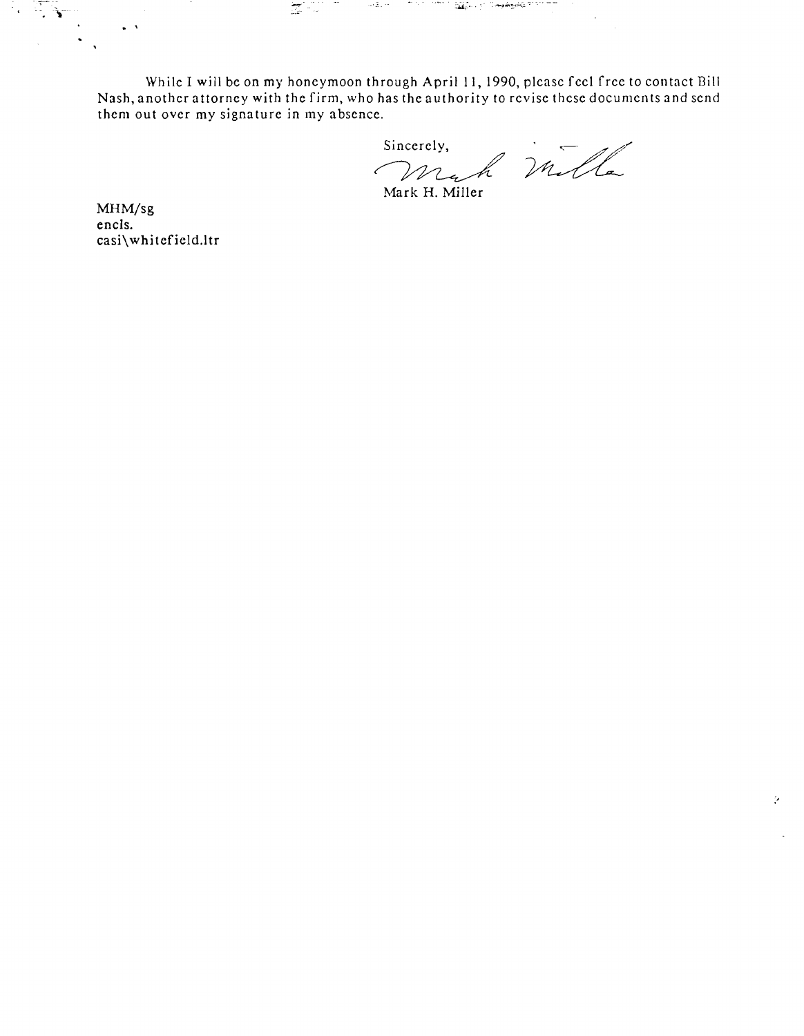While I will be on my honeymoon through April 11, 1990, please feel free to contact Bill Nash, another attorney with the firm, who has the authority to revise these documents and send<br>them out over my signature in my absence.<br>Sincerely, them out oyer my signature in my absence.

 $\sum_{i=1}^n \sum_{j=1}^n \left( \sum_{j=1}^n \left( \sum_{j=1}^n \left( \sum_{j=1}^n \left( \sum_{j=1}^n \left( \sum_{j=1}^n \left( \sum_{j=1}^n \left( \sum_{j=1}^n \left( \sum_{j=1}^n \left( \sum_{j=1}^n \left( \sum_{j=1}^n \left( \sum_{j=1}^n \left( \sum_{j=1}^n \left( \sum_{j=1}^n \left( \sum_{j=1}^n \left( \sum_{j=1}^n \left( \sum_{j=1}^n \left( \sum_{j=1}$ 

mark H. Miller

 $\mathcal{L}$ 

MHM/sg encIs. casi\whitefield.ltr

 $\ddot{\phantom{a}}$ 

 $\Delta$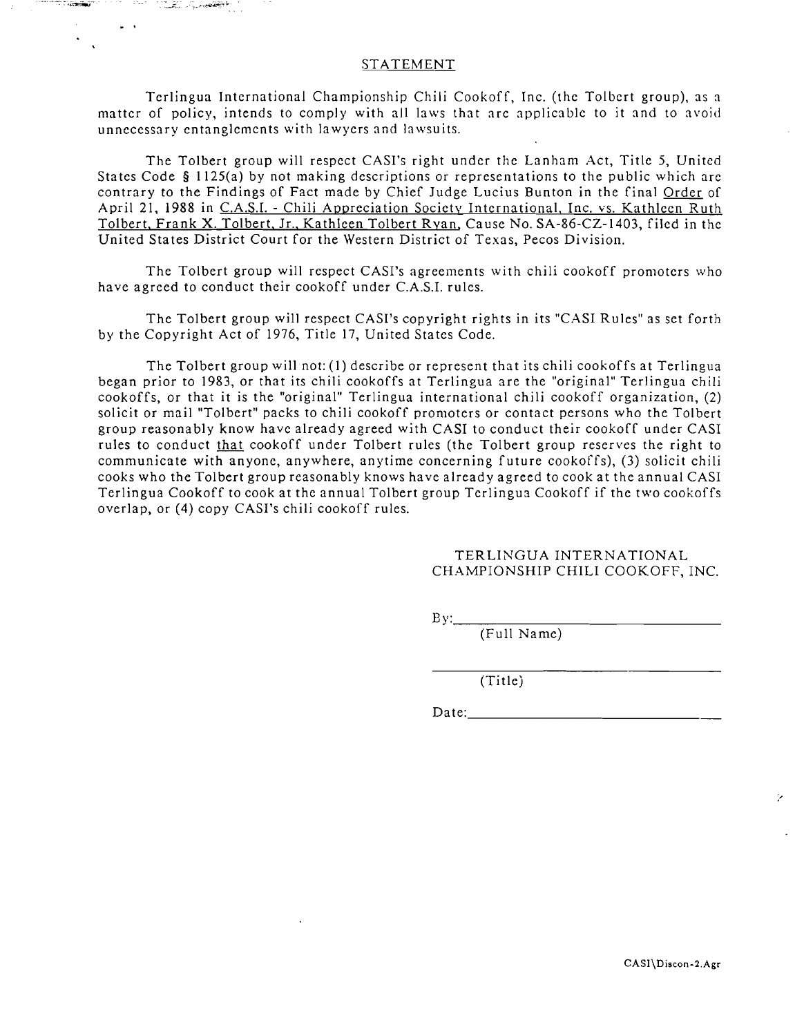### **STATEMENT**

.. :+~\_.

Terlingua International Championship Chili Cookoff, Inc. (the Tolbert group), as a matter of policy, intends to comply with all laws that are applicable to it and to avoid unnecessary entanglements with lawyers and lawsuits.

The Tolbert group will respect CASI's right under the Lanham Act, Title 5, United States Code § 1125(a) by not making descriptions or representations to the public which are contrary to the Findings of Fact made by Chief Judge Lucius Bunton in the final Order of April 21, 1988 in C.A.S.1. - Chili Appreciation Society International, Inc. vs. Kathleen Ruth Tolbert. Frank X. Tolbert, Jr., Kathleen Tolbert Ryan, Cause No. SA-86-CZ-1403, filed in the United States District Court for the Western District of Texas, Pecos Division.

The Tolbert group will respect CASI's agreements with chili cookoff promoters who have agreed to conduct their cookoff under C.A.S.1. rules.

The Tolbert group will respect CASI's copyright rights in its "CASI Rules" as set forth by the Copyright Act of 1976, Title 17, United States Code.

The Tolbert group will not: (I) describe or represent that its chili cookoffs at Terlingua began prior to 1983, or that its chili cookoffs at Terlingua are the "original" Terlingua chili cookoffs, or that it is the "original" Terlingua international chili cookoff organization, (2) solicit or mail "Tolbert" packs to chili cookoff promoters or contact persons who the Tolbert group reasonably know have already agreed with CASI to conduct their cookoff under CASI rules to conduct that cookoff under Tolbert rules (the Tolbert group reserves the right to communicate with anyone, anywhere, anytime concerning future cookoffs), (3) solicit chili cooks who the Tolbert group reasonably knows have already agreed to cook at the annual CASI Terlingua Cookoff to cook at the annual Tolbert group Terlingua Cookoff if the two cookoffs overlap, or (4) copy CASI's chili cookoff rules.

#### TERLINGUA INTERNATIONAL CHAMPIONSHIP CHILI COOKOFF, INC.

 $\mathbf{B} \mathbf{y}$ :

(Full Name)

(Title)

 $Date:$ 

ŷ.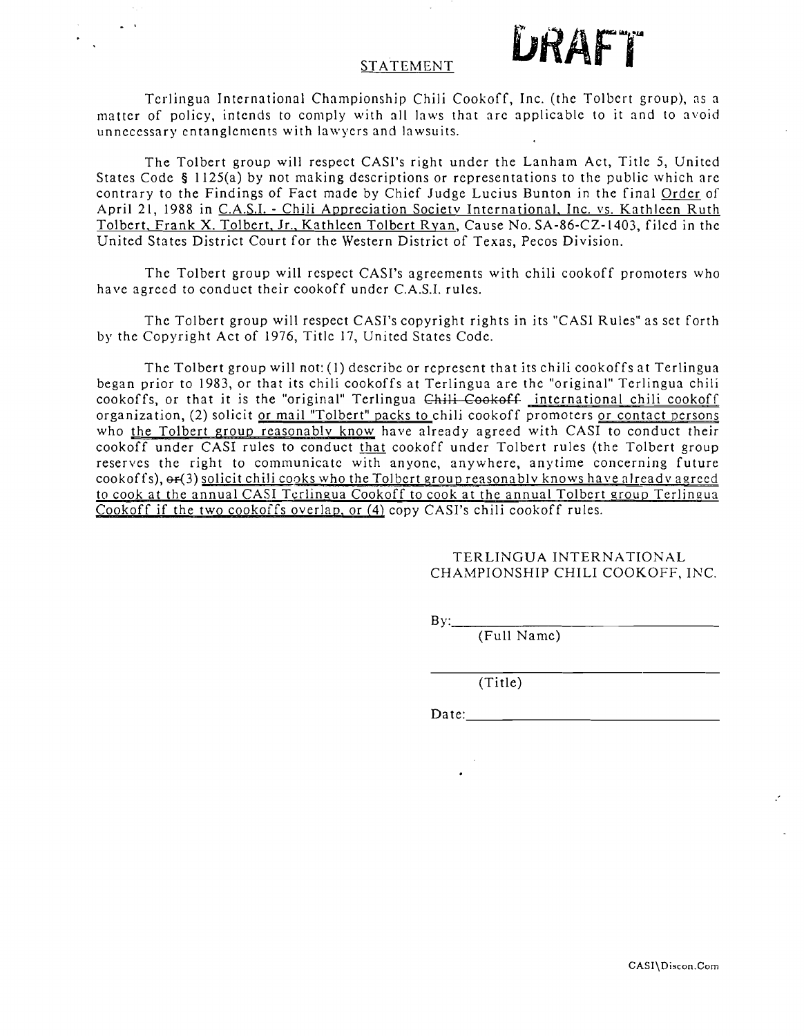## STATEMENT **LIRAFT**

· .

Terlingua International Championship Chili Cookoff, Inc. (the Tolbert group), as a matter of policy, intends to comply with all laws that arc applicable to it and to avoid unnecessary entanglements with lawyers and lawsuits.

The Tolbert group will respect CASl's right under the Lanham Act, Title 5, United States Code § 1125(a) by not making descriptions or representations to the public which are contrary to the Findings of Fact made by Chief Judge Lucius Bunton in the final Order of April 21, 1988 in C.A.S.I. - Chili Appreciation Society International, Inc. vs. Kathleen Ruth Tolbert, Frank X. Tolbert, Jr., Kathleen Tolbert Ryan, Cause No. SA-86-CZ-1403, filed in the United States District Court for the Western District of Texas, Pecos Division.

The Tolbert group will respect CAST's agreements with chili cookoff promoters who have agreed to conduct their eookoff under C.A.S.I. rules.

The Tolbert group will respect CASI's copyright rights in its "CASl Rules" as set forth by the Copyright Act of 1976, Title 17, United States Code.

The Tolbert group will not: (1) describe or represent that its chili cookoffs at Terlingua began prior to 1983, or that its chili cookoffs at Terlingua are the "original" Terlingua chili cookoffs, or that it is the "original" Terlingua Chili Cookoff international chili cookoff organization, (2) solicit or mail "Tolbert" packs to chili cookoff promoters or contact persons who the Tolbert group reasonably know have already agreed with CASI to conduct their cook off under CASI rules to conduct that eookoff under Tolbert rules (the Tolbert group reserves the right to communicate with anyone, anywhere, anytime concerning future cookoffs),  $\Theta$ - $(3)$  solicit chili cooks who the Tolbert group reasonably knows have already agreed to cook at the annual CASI Terlingua Cookoff to cook at the annual Tolbert group Tcrlineua Cookoff if the two cookoffs overlap, or (4) copy CAST's chili cookoff rules.

> TERLINGUA INTERNATIONAL CHAMPIONSHIP CHILI COOKOFF, INC.

 $By:$ 

(Full Name)

(Title)

Date: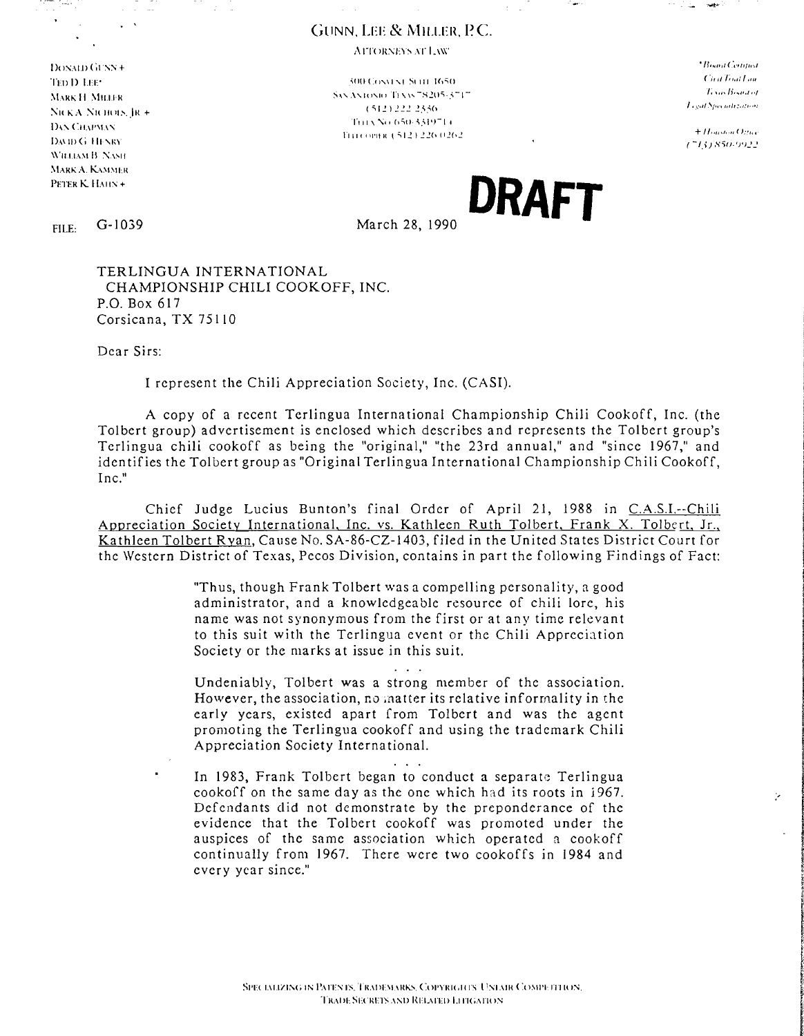### GUNN. LEE & MILLER, P.C.

AFTORNEYS AT LAW

J)o'\.\1/) (;\''\'\ + ( 'j, II l~ ',ll I 'III '1'1\) J) !.IT' .:dIOCll .... " .... 1 Silil 1(1~1I DAVID G. HENRY WHLIAM B. NASH MARK A. KAMMER

1; ',j, /)',,1,,1 ,,' :-;\.....\ .... 1(1 .... 1tI "1'1 \,... -~·C~O:;·..:.-I ~L\lH'; II ~II1.1.1H ( :; **12** ) 2.! 2 2:' .",(1 :"u "A :"Il Jllll.'.,111 + 1'111 \ '\11 h:;O·".':'I')-11 Ih' CII.\/'\I\' 1"111 ( f lI'll K l :; 12) 22(, 112(\2

المتراكب **Subscribed** 

> $+$ Houston Office 77131850.9922

> > þ.

PETER K HAHN+<br>FILE: G-1039 March 28, 1990 March 28, 1990

March 28, 1990

TERLINGUA INTERNATIONAL CHAMPIONSHIP CHILI COOKOFF, INC. P.O. Box 617 Corsicana, TX 75110

Dear Sirs:

I represent the Chili Appreciation Society, Inc. (CASI).

A copy of a recent Terlingua International Championship Chili Cookoff, Inc. (the Tolbert group) advertisement is enclosed which describes and represents the Tolbert group's Terlingua chili cookoff as being the "original," "the 23rd annual," and "since 1967," and identifies the Tolbert group as "Original Terlingua International Championship Chili Cookoff, Inc."

Chief Judge Lucius Bunton's final Order of April 21, 1988 in C.A.S.I.--Chili Appreciation Society International, Inc. vs. Kathleen Ruth Tolbert, Frank X. Tolbert, Jr., Kathleen Tolbert Ryan, Cause No. SA-86-CZ-1403, filed in the United Sta tes District Court for the Western District of Texas, Pecos Division, contains in part the following Findings of Fact:

> "Thus, though Frank Tolbert was a compelling personality, a good administrator, and a knowledgeable resource of chili lore, his name was not synonymous from the first or at any time relevant to this suit with the Terlingua event or the Chili Appreciation Society or the marks at issue in this suit.

> Undeniably, Tolbert was a strong member of the association. However, the association, no ;natter its relative informality in the early years, existed apart from Tolbert and was the agent promoting the Terlingua cookoff and using the trademark Chili Appreciation Society International.

> > $\mathbf{1}$  ,  $\mathbf{1}$  ,  $\mathbf{1}$

 $\mathbf{1}$   $\mathbf{1}$ 

In 1983, Frank Tolbert began to conduct a separate Terlingua cookoff on the same day as the one which had its roots in 1967. Defendants did not demonstrate by the preponderance of the evidence that the Tolbert cookoff was promoted under the auspices of the same association which operated a cookoff continually from 1967. There were two cookoffs in 1984 and every year since."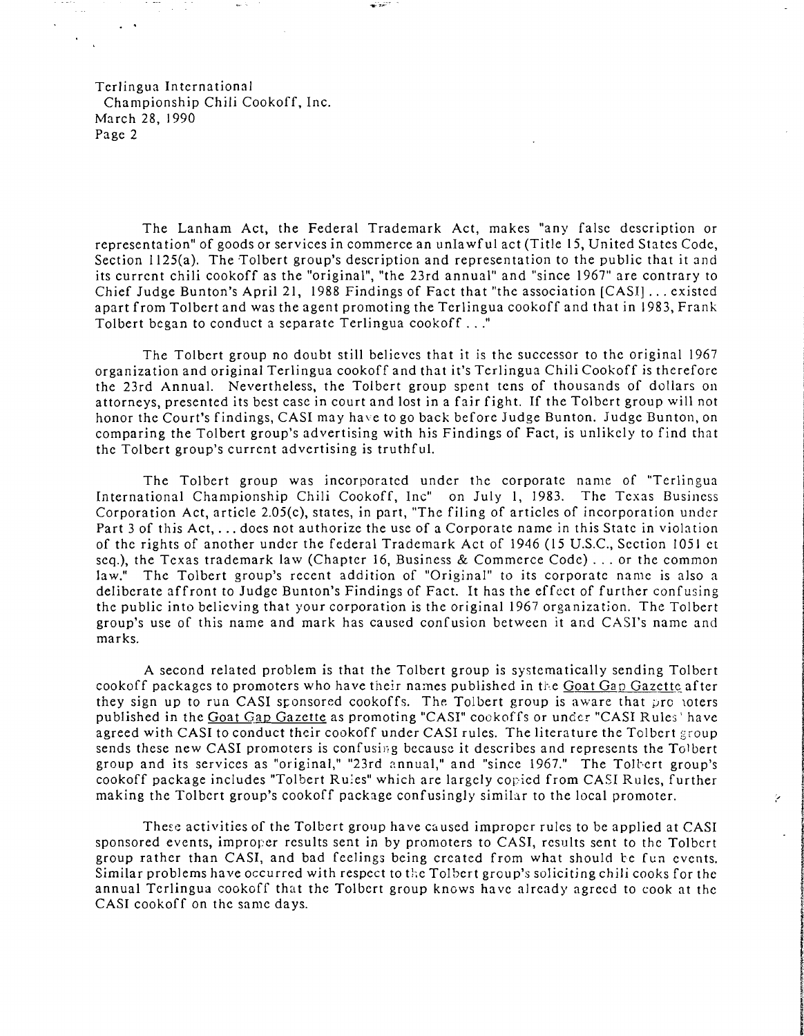The Lanham Act, the Federal Trademark Act, makes "any false description or representation" of goods or services in commerce an unIa wful act (Title 15, United States Code, Section 1125(a). The Tolbert group's description and representation to the public that it and its current chili cookoff as the "original", "the 23rd annual" and "since 1967" are contrary to Chief Judge Bunton's April 21, 1988 Findings of Fact that "the association [CASI] ... existed apart from Tolbert and was the agent promoting the Terlingua cookoff and that in 1983, Frank Tolbert began to conduct a separate Terlingua cookoff ..."

The Tolbert group no doubt still believes that it is the successor to the original 1967 organization and original Terlingua cookoff and that it's Terlingua Chili Cookoff is therefore the 23rd Annual. Nevertheless, the Tolbert group spent tens of thousands of dollars on attorneys, presented its best case in court and lost in a fair fight. If the Tolbert group will not honor the Court's findings, CASI may have to go back before Judge Bunton. Judge Bunton, on comparing the Tolbert group's advertising with his Findings of Fact, is unlikely to find that the Tolbert group's current advertising is truthful.

The Tolbert group was incorporated under the corporate name of "Terlingua International Championship Chili Cookoff, Inc" on July 1, 1983. The Texas Business Corporation Act, article 2.05(c), states, in part, "The filing of articles of incorporation under Part 3 of this Act, ... docs not authorize the use of a Corporate name in this State in violation of the rights of another under the federal Trademark Act of 1946 (15 U.S.c., Section 1051 et seq.), the Texas trademark law (Chapter 16, Business & Commerce Code) ... or the common law." The Tolbert group's recent addition of "Original" to its corporate name is also a deliberate affront to Judge Bunton's Findings of Fact. It has the effect of further confusing the public into believing that your corporation is the original 1967 organization. The Tolbert group's use of this name and mark has caused confusion between it and CASI's name and marks.

A second related problem is that the Tolbert group is systematically sending Tolbert cookoff packages to promoters who have their names published in the Goat Gap Gazette after they sign up to run CASI sponsored cookoffs. The Tolbert group is aware that providers published in the Goat Gap Gazette as promoting "CASI" cookoffs or under "CASI Rules' have agreed with CASI to conduct their cookoff under CASI rules. The literature the Tolbert group sends these new CASI promoters is confusing because it describes and represents the Tolbert group and its services as "original," "23rd annual," and "since 1967." The Tolbert group's cookoff package includes "Tolbert Rules" which are largely copied from CASI Rules, further making the Tolbert group's cookoff package confusingly similar to the local promoter.

These activities of the Tolbert group have caused improper rules to be applied at CASI sponsored events, improper results sent in by promoters to CASI, results sent to the Tolbert group rather than CASI, and bad feelings being created from what should te fun events. Similar problems have occurred with respect to the Tolbert group's soliciting chili cooks for the annual Terlingua cookoff that the Tolbert group knows have already agreed to cook at the CASI cookoff on the same days.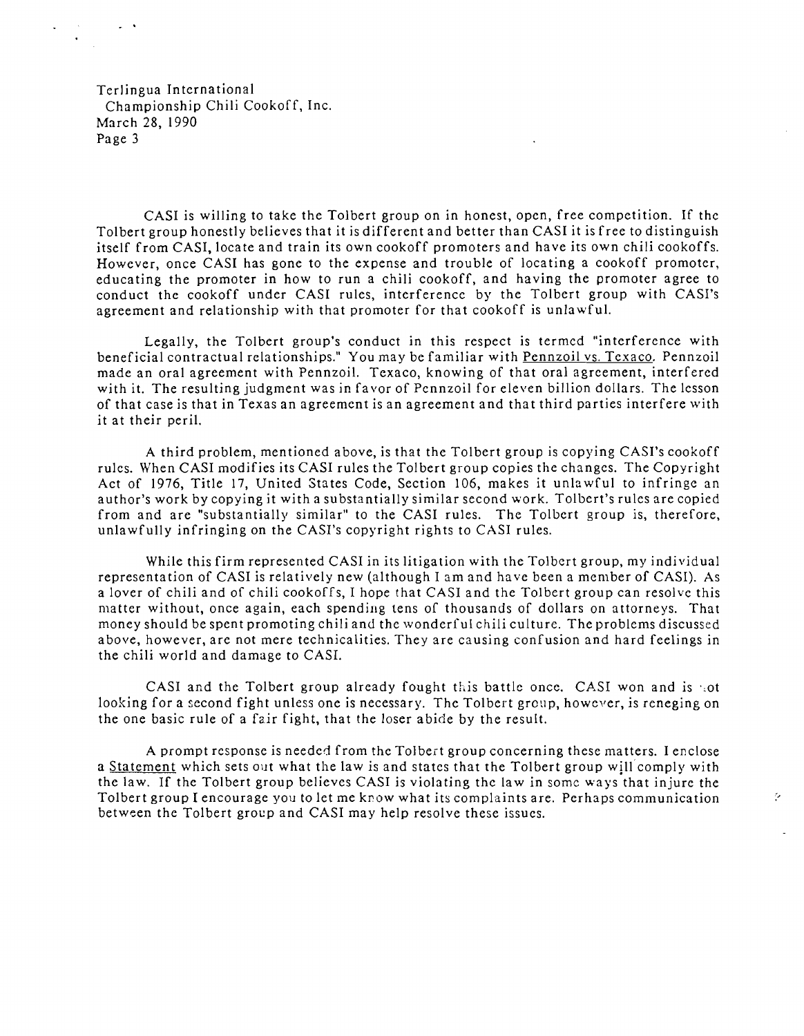· .

CASI is willing to take the Tolbert group on in honest, open, free competition. If the Tolbert group honestly believes that it is different and better than CAS I it is free to distinguish itself from CASI, locate and train its own cookoff promoters and have its own chili cookoffs. However, once CASI has gone to the expense and trouble of locating a cookoff promoter, educating the promoter in how to run a chili cookoff, and having the promoter agree to conduct the cookoff under CASI rules, interference by the Tolbert group with CASI's agreement and relationship with that promoter for that cookoff is unlawful.

Legally, the Tolbert group's conduct in this respect is termed "interference with beneficial contractual relationships." You may be familiar with Pennzoil vs. Texaco. Pennzoil made an oral agreement with Pennzoil. Texaco, knowing of that oral agreement, interfered with it. The resulting judgment was in favor of Pennzoil for eleven billion dollars. The lesson of that case is that in Texas an agreement is an agreement and that third parties interfere with it at their peril.

A third problem, mentioned above, is that the Tolbert group is copying CASI's cookoff rules. When CASI modifies its CASI rules the Tolbert group copies the changes. The Copyright Act of 1976, Title 17, United States Code, Section 106, makes it unlawful to infringe an author's work by copying it with a substantially similar second work. Tolbert's rules are copied from and are "substantially similar" to the CASI rules. The Tolbert group is, therefore, unlawfully infringing on the CASI's copyright rights to CASI rules.

While this firm represented CASI in its litigation with the Tolbert group, my individual representation of CASI is relatively new (although I am and have been a member of CASI). As a lover of chili and of chili cookoffs, I hope that CASI and the Tolbert group can resolve this matter without, once again, each spending tens of thousands of dollars on attorneys. That money should be spent promoting chili and the wonderful chili culture. The problems discussed above, however, are not mere technicalities. They are causing confusion and hard feelings in the chili world and damage to CASI.

CASI and the Tolbert group already fought this battle once. CASI won and is  $\pm \text{ot}$ looking for a second fight unless one is necessary. The Tolbert group, however, is reneging on the one basic rule of a fair fight, that the loser abide by the result.

A prompt response is needed from the Tolbert group concerning these matters. I enclose a Statement which sets out what the law is and states that the Tolbert group will comply with the law. If the Tolbert group believes CASI is violating the law in some ways that injure the Tolbert group I encourage you to let me know what its complaints are. Perhaps communication :  $\mathcal{L}$ between the Tolbert group and CASI may help resolve these issues.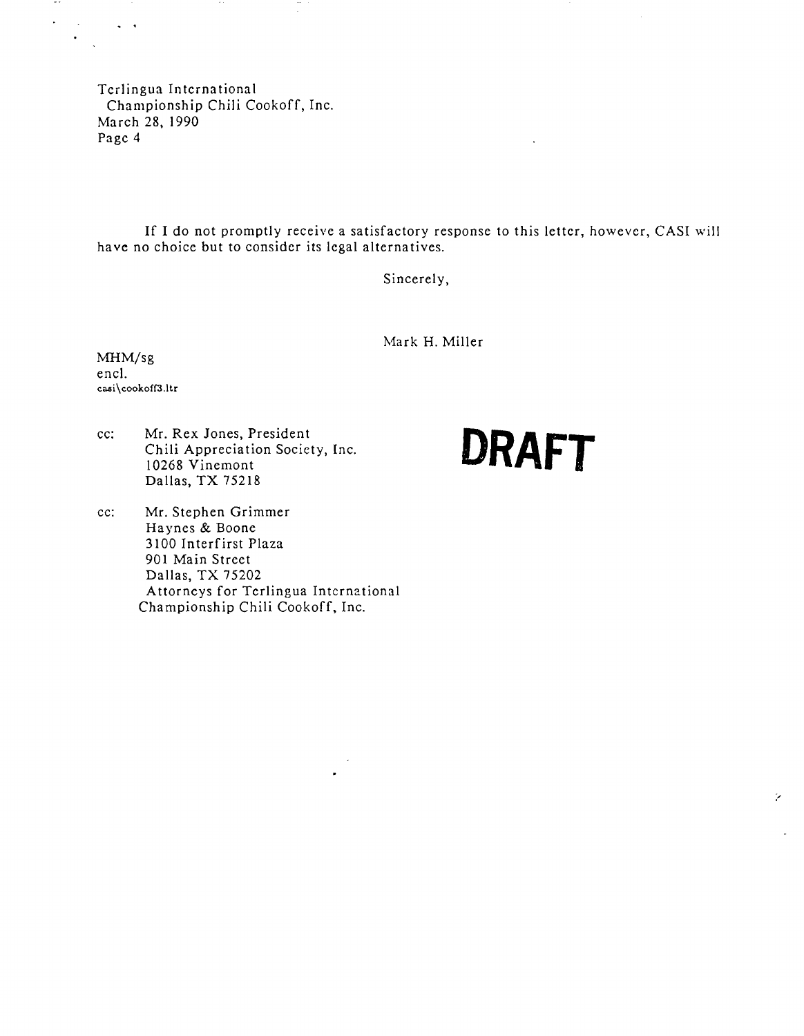If I do not promptly receive a satisfactory response to this letter, however, CASI will have no choice but to consider its legal alternatives.

Sincerely,

Mark H. Miller

MHM/sg encl. casi\cookoff3.ltr

 $\star$ 

 $\sim 10^{-1}$ 

 $\sim$   $\sim$ 

cc: Mr. Rex Jones, President Chili Appreciation Society. Inc. Dallas, TX 75218

### cc: Mr. Stephen Grimmer Haynes & Boone 3100 Interfirst Plaza 901 Main Street Dallas, TX 75202 Attorneys for Terlingua International Championship Chili Cookoff, Inc.

# DRAFT

Ŷ.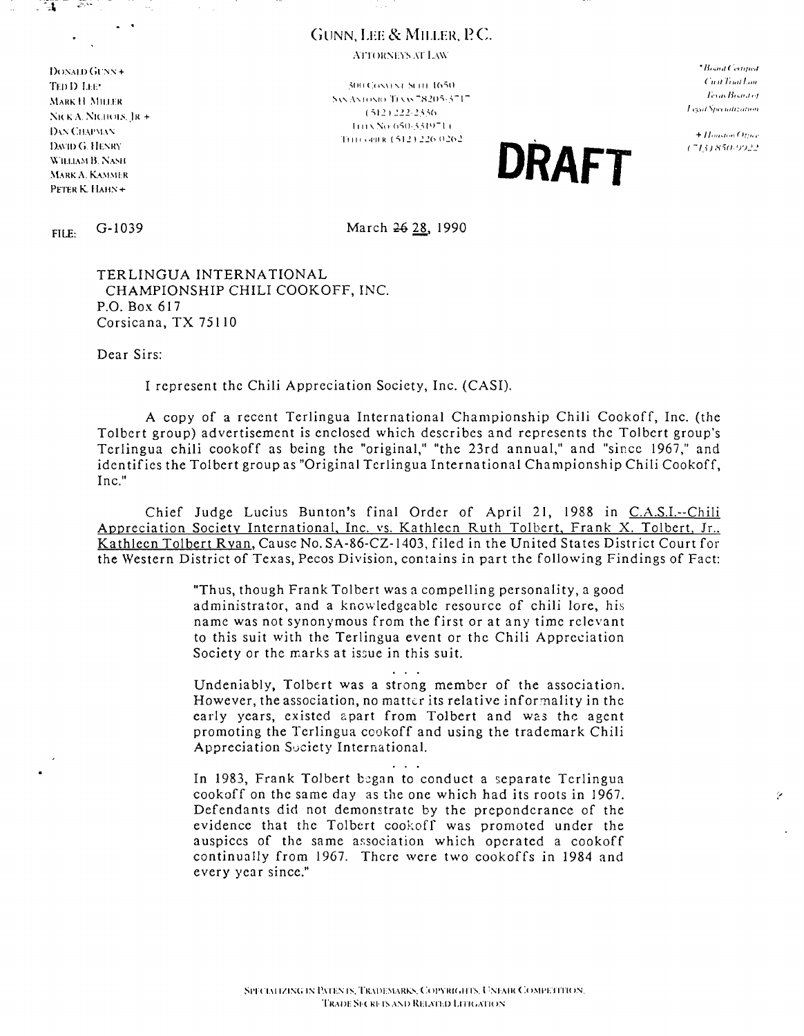### GUNN, LEE & MILLER, P.C.

ATTORNEYS AT LAW

DONALD GUNN + DAN CHAPMAN DAVID G, HENRY  $\overline{\text{W}}$ ILLIAM B, NASH  $\sum_{\text{WillasMB, Nasm}} \text{D} \text{RAF}$ 

TEll () 1.11:' .",(111<:0'\1" ~II" **IC,';;U**  ,\tark H. Miller = 0.000 m = 0.000 m = 0.000 m = 0.000 m = 0.000 m = 0.000 m = 0.000 m = 0.000 m = 0.000 m = 0.000 m = 0.000 m = 0.000 m = 0.000 m = 0.000 m = 0.000 m = 0.000 m = 0.000 m = 0.000 m = 0.000 m = 0.000 m = 0.0 SICK A. NICHOLS, JR + (~12) ~22-2356 II 11 \ No. 650-3319<sup>-1</sup>14 THI COPIER (512) 226 0262

\*Board Certified Cuat Trut Lou **Texas Boord of** Legal Specialization

 $+$  Houston Ottree (713) 850-9922

Ÿ

FILE: G-1039 March 26 28, 1990

TERLINGUA INTERNATIONAL CHAMPIONSHIP CHILI COOKOFF, INC. P.O. Box 617 Corsicana, TX 75110

Dear Sirs:

I represent the Chili Appreciation Society, Inc. (CAS!).

A copy of a recent Terlingua International Championship Chili Cookoff, Inc. (the Tolbert group) advertisement is enclosed which describes and represents the Tolbert group's Terlingua chili cookoff as being the "original," "the 23rd annual," and "since 1967," and identifies the Tolbert group as "Original Terlingua International Championship Chili Cookoff, Inc."

Chief Judge Lucius Bunton's final Order of April 21, 1988 in C.A.S.I.--Chili Appreciation Society International, Inc. vs. Kathleen Ruth Tolbert, Frank X. Tolbert, Jr.. Kathleen Tolbert Ryan, Cause No. SA-86-CZ-1403, filed in the United States District Court for the Western District of Texas, Pecos Division, contains in part the following Findings of Fact:

> "Thus, though Frank Tolbert was a compelling personality, a good administrator, and a knowledgea ble resource of chili lore, his name was not synonymous from the first or at any time relevant to this suit with the Terlingua event or the Chili Appreciation Society or the marks at issue in this suit.

> > $\mathbf{1}$

Undeniably, Tolbert was a strong member of the association, However, the association, no matter its relative informality in the early years, existed apart from Tolbert and was the agent promoting the Terlingua cookoff and using the trademark Chili Appreciation Suciety International.

 $\cdots$ In 1983, Frank Tolbert began to conduct a separate Terlingua cookoff on the same day as the one which had its roots in 1967. Defendants did not demonstrate by the preponderance of the evidence that the Tolbert cookoff was promoted under the auspices of the same association which operated a cookoff continually from 1967. There were two cookoffs in 1984 and every year since."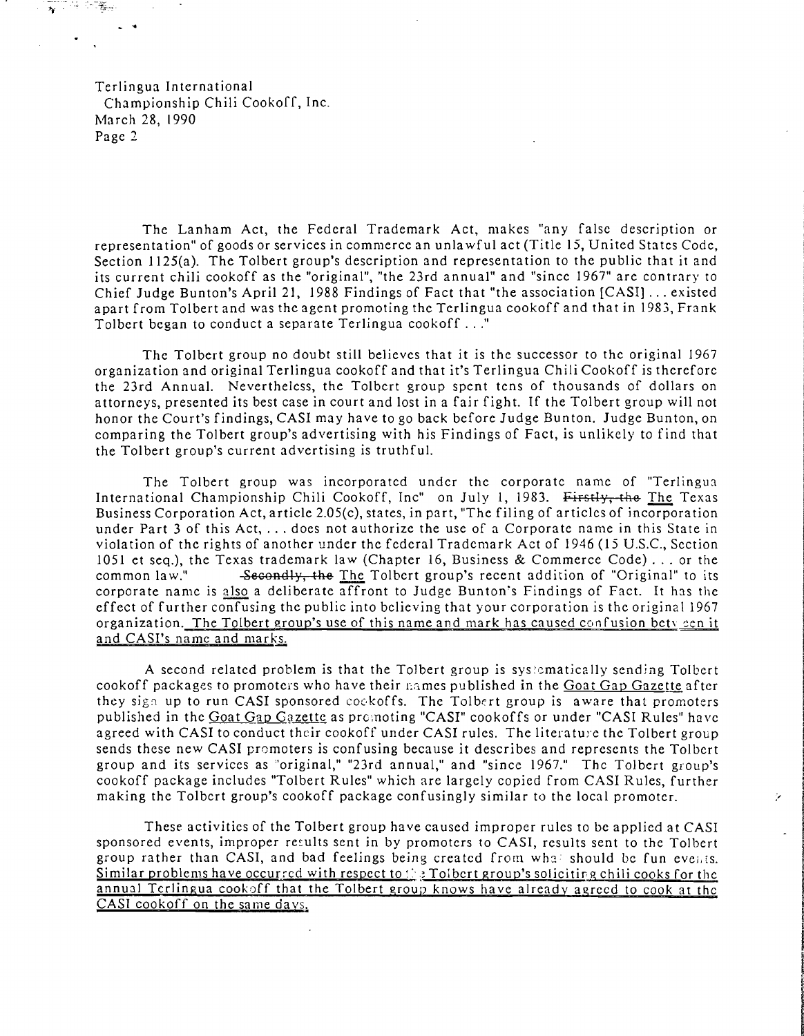The Lanham Act, the Federal Trademark Act, makes "any false description or representation" of goods or services in commerce an unlawful act (Title 15, United States Code, Section 1125(a). The Tolbert group's description and representation to the public that it and its current chili cookoff as the "original", "the 23rd annual" and "since 1967" are contrary to Chief Judge Bunton's April 21, 1988 Findings of Fact that "the association [CASI]... existed apart from Tolbert and was the agent promoting the Terlingua cookoff and that in 1983, Frank Tolbert began to conduct a separate Terlingua cookoff ..."

The Tolbert group no doubt still believes that it is the successor to the original 1967 organization and original Terlingua cookoff and that it's Terlingua Chili Cookoff is therefore the 23rd Annual. Nevertheless, the Tolbert group spent tens of thousands of dollars on attorneys, presented its best case in court and lost in a fair fight. If the Tolbert group will not honor the Court's findings, CAS! may have to go back before Judge Bunton. Judge Bunton, on comparing the Tolbert group's advertising *with* his Findings of Fact, is unlikely to find that the Tolbert group's current advertising *is* truthful.

The Tolbert group was incorporated under the corporate name of "Terlingua International Championship Chili Cookoff, Inc" on July 1, 1983. Firstly, the The Texas Business Corporation Act, article 2.05(c), states, in part, "The filing of articles of incorporation under Part 3 of this Act, ... does not authorize the use of a Corporate name in this State in violation of the rights of another under the federal Trademark Act of 1946 (15 U.S.c., Section 1051 et seq.), the Texas trademark law (Chapter 16, Business & Commerce Code)... or the common law." -Secondly, the The Tolbert group's recent addition of "Original" to its -Secondly, the The Tolbert group's recent addition of "Original" to its corporate name is also a deliberate affront to Judge Bunton's Findings of Fact. It has the effect of further confusing the public into believing that your corporation is the original 1967 organization. The Tolbert group's use of this name and mark has caused confusion bety cen it and CASI's name and marks.

A second related problem *is* that the Tolbert group *is* sys>~matically sending Tolbert cookoff packages to promoters who have their names published in the Goat Gap Gazette after they sign up to run CASI sponsored coekoffs. The Tolbert group is aware that promoters published in the Goat Gap Gazette as promoting "CASI" cookoffs or under "CASI Rules" have agreed with CASI to conduct their cookoff under CASI rules. The literature the Tolbert group sends these new CAS! promoters *is* confusing because *it* describes and represents the Tolbert group and its services as "original," "23rd annual," and "since 1967." Thc Tolbert group's cookoff package includes "Tolbert Rules" which are largely copied from CAS! Rules, further making the Tolbert group's cookoff package confusingly similar to the local promoter.

These activities of the Tolbert group have caused improper rules to be applied at CASI sponsored events, improper results sent in by promoters to CASI, results sent to the Tolbert group rather than CASI, and bad feelings being created from what should be fun events. Similar problems have occurred with respect to::  $\frac{1}{2}$  Tolbert group's soliciting chili cooks for the annual Terlingua cookoff that the Tolbert group knows have already agreed to cook at the CASI cookoff on the same days.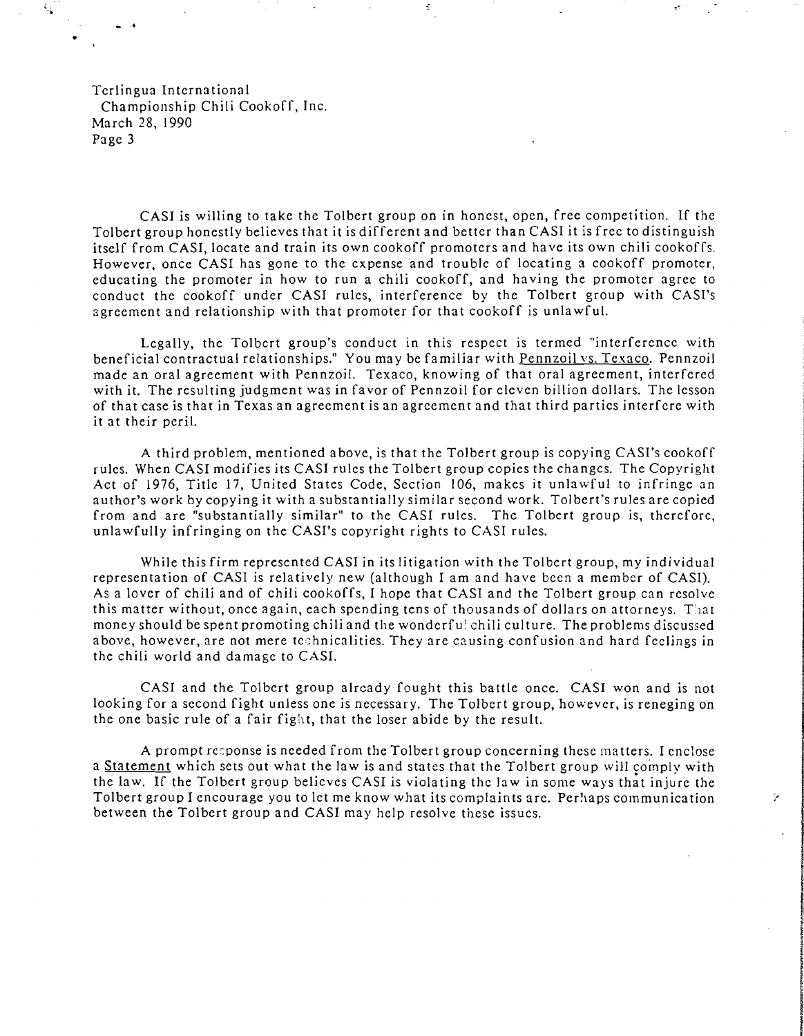;. -.

**.'** 

CASI is willing to take the Tolbert group on in honest, open, free competition. If the Tolbert group honestly believes that it is different and better than CASI it is free to distinguish itself from CASI, locate and train its own cookoff promoters and have its own chili cookoffs. However, once CASI has gone to the expense and trouble of locating a cookoff promoter, educating the promoter in how to run a chili cookoff, and having the promoter agree to conduct the cookoff under CASI rules, interference by the Tolbert group with CASI's agreement and relationship with that promoter for that cookoff is unlawful.

Legally, the Tolbert group's conduct in this respect is termed "interference with beneficial contractual relationships." You may be familiar with Pennzoil vs. Texaco. Pennzoil made an oral agreement with Pennzoil. Texaco, knowing of that oral agreement, interfered with it. The resulting judgment was in favor of Pennzoil for cleven billion dollars. The lesson of that case is that in Texas an agreement is an agreement and that third parties interfere with it at their peril.

A third problem, mentioned above, is that the Tolbert group is copying CASI's cookoff rules. When CASI modifies its CASI rules the Tolbert group copies the changes. The Copyright Act of 1976, Title 17, United States Code, Section 106, makes it unlawful to infringe an author's work by copying it with a substantially similar second work. Tolbert's rules are copied from and are "substantially similar" to the CASI rules. The Tolbert group is, therefore, unlawfully infringing on the CASI's copyright rights to CASI rules.

While this firm represented CASI in its litigation with the Tolbert group, my individual representation of CASI is relatively new (although I am and have been a member of CAS!). As a lover of chili and of chili cookoffs, I hope that CASI and the Tolbert group can resolve this matter without, once again, each spending tens of thousands of dollars on attorneys. That money should be spent promoting chili and the wonderfu! chili culture. The problems discussed above, however, are not mere technicalities. They are causing confusion and hard feelings in the chili world and damage to CASI.

CASI and the Tolbert group already fought this battle once. CASI won and is not looking for a second fight unless one is necessary. The Tolbert group, however, is reneging on the one basic rule of a fair fight, that the loser abide by the result.

A prompt reponse is needed from the Tolbert group concerning these matters. I enclose a Statement which sets out what the law is and states that the Tolbert group will complv with the law. If the Tolbert group believes CASI is violating the law in some ways that injure the Tolbert group I encourage you to let me know what its complaints arc. Perhaps communication  $\ddot{r}$ between the Tolbert group and CASI may help resolve these issues.